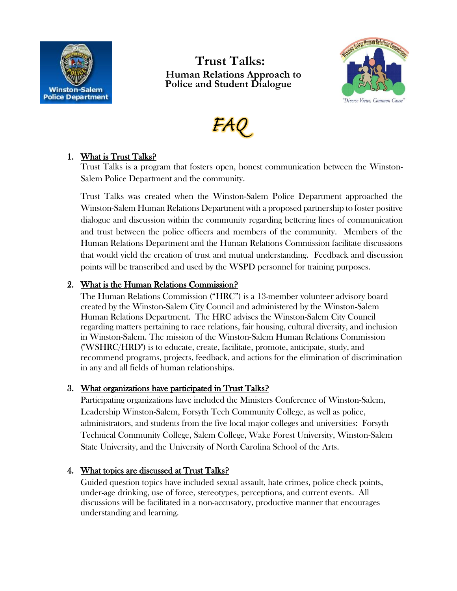

# **Trust Talks: Human Relations Approach to Police and Student Dialogue**





## 1. What is Trust Talks?

Trust Talks is a program that fosters open, honest communication between the Winston-Salem Police Department and the community.

Trust Talks was created when the Winston-Salem Police Department approached the Winston-Salem Human Relations Department with a proposed partnership to foster positive dialogue and discussion within the community regarding bettering lines of communication and trust between the police officers and members of the community. Members of the Human Relations Department and the Human Relations Commission facilitate discussions that would yield the creation of trust and mutual understanding. Feedback and discussion points will be transcribed and used by the WSPD personnel for training purposes.

## 2. What is the Human Relations Commission?

The Human Relations Commission ("HRC") is a 13-member volunteer advisory board created by the Winston-Salem City Council and administered by the Winston-Salem Human Relations Department. The HRC advises the Winston-Salem City Council regarding matters pertaining to race relations, fair housing, cultural diversity, and inclusion in Winston-Salem. The mission of the Winston-Salem Human Relations Commission ("WSHRC/HRD") is to educate, create, facilitate, promote, anticipate, study, and recommend programs, projects, feedback, and actions for the elimination of discrimination in any and all fields of human relationships.

## 3. What organizations have participated in Trust Talks?

Participating organizations have included the Ministers Conference of Winston-Salem, Leadership Winston-Salem, Forsyth Tech Community College, as well as police, administrators, and students from the five local major colleges and universities: Forsyth Technical Community College, Salem College, Wake Forest University, Winston-Salem State University, and the University of North Carolina School of the Arts.

## 4. What topics are discussed at Trust Talks?

Guided question topics have included sexual assault, hate crimes, police check points, under-age drinking, use of force, stereotypes, perceptions, and current events. All discussions will be facilitated in a non-accusatory, productive manner that encourages understanding and learning.